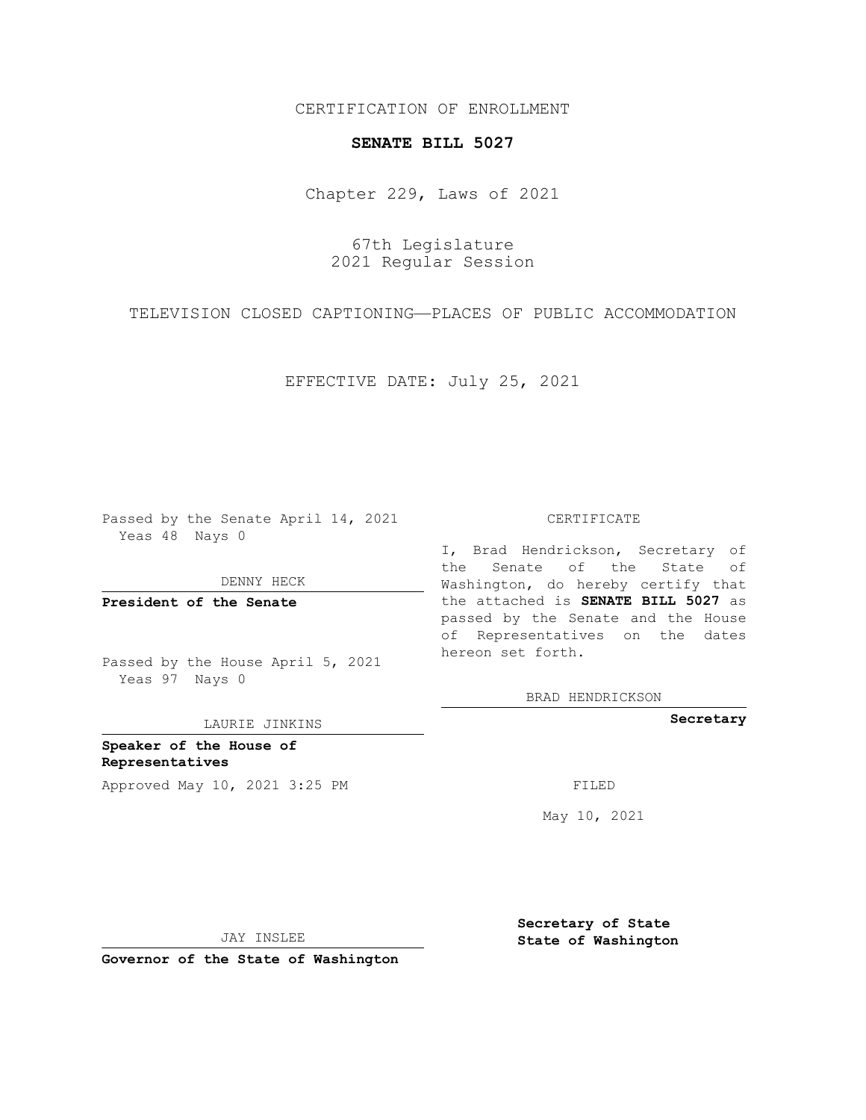CERTIFICATION OF ENROLLMENT

## **SENATE BILL 5027**

Chapter 229, Laws of 2021

67th Legislature 2021 Regular Session

TELEVISION CLOSED CAPTIONING—PLACES OF PUBLIC ACCOMMODATION

EFFECTIVE DATE: July 25, 2021

Passed by the Senate April 14, 2021 Yeas 48 Nays 0

DENNY HECK

**President of the Senate**

Passed by the House April 5, 2021 Yeas 97 Nays 0

LAURIE JINKINS

**Speaker of the House of Representatives** Approved May 10, 2021 3:25 PM FILED

## CERTIFICATE

I, Brad Hendrickson, Secretary of the Senate of the State of Washington, do hereby certify that the attached is **SENATE BILL 5027** as passed by the Senate and the House of Representatives on the dates hereon set forth.

BRAD HENDRICKSON

**Secretary**

May 10, 2021

**Secretary of State**

JAY INSLEE

 **State of Washington**

**Governor of the State of Washington**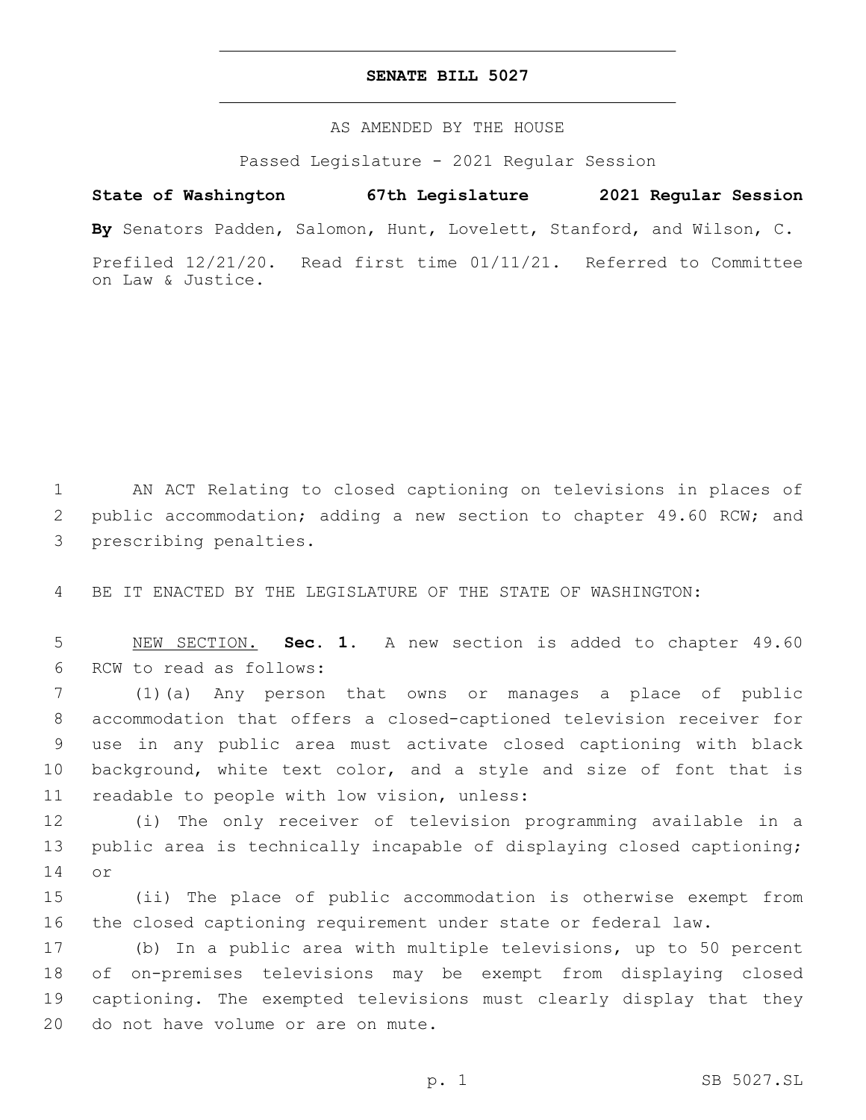## **SENATE BILL 5027**

AS AMENDED BY THE HOUSE

Passed Legislature - 2021 Regular Session

## **State of Washington 67th Legislature 2021 Regular Session**

**By** Senators Padden, Salomon, Hunt, Lovelett, Stanford, and Wilson, C.

Prefiled 12/21/20. Read first time 01/11/21. Referred to Committee on Law & Justice.

1 AN ACT Relating to closed captioning on televisions in places of 2 public accommodation; adding a new section to chapter 49.60 RCW; and 3 prescribing penalties.

4 BE IT ENACTED BY THE LEGISLATURE OF THE STATE OF WASHINGTON:

5 NEW SECTION. **Sec. 1.** A new section is added to chapter 49.60 6 RCW to read as follows:

 (1)(a) Any person that owns or manages a place of public accommodation that offers a closed-captioned television receiver for use in any public area must activate closed captioning with black background, white text color, and a style and size of font that is 11 readable to people with low vision, unless:

12 (i) The only receiver of television programming available in a 13 public area is technically incapable of displaying closed captioning; 14 or

15 (ii) The place of public accommodation is otherwise exempt from 16 the closed captioning requirement under state or federal law.

 (b) In a public area with multiple televisions, up to 50 percent of on-premises televisions may be exempt from displaying closed captioning. The exempted televisions must clearly display that they 20 do not have volume or are on mute.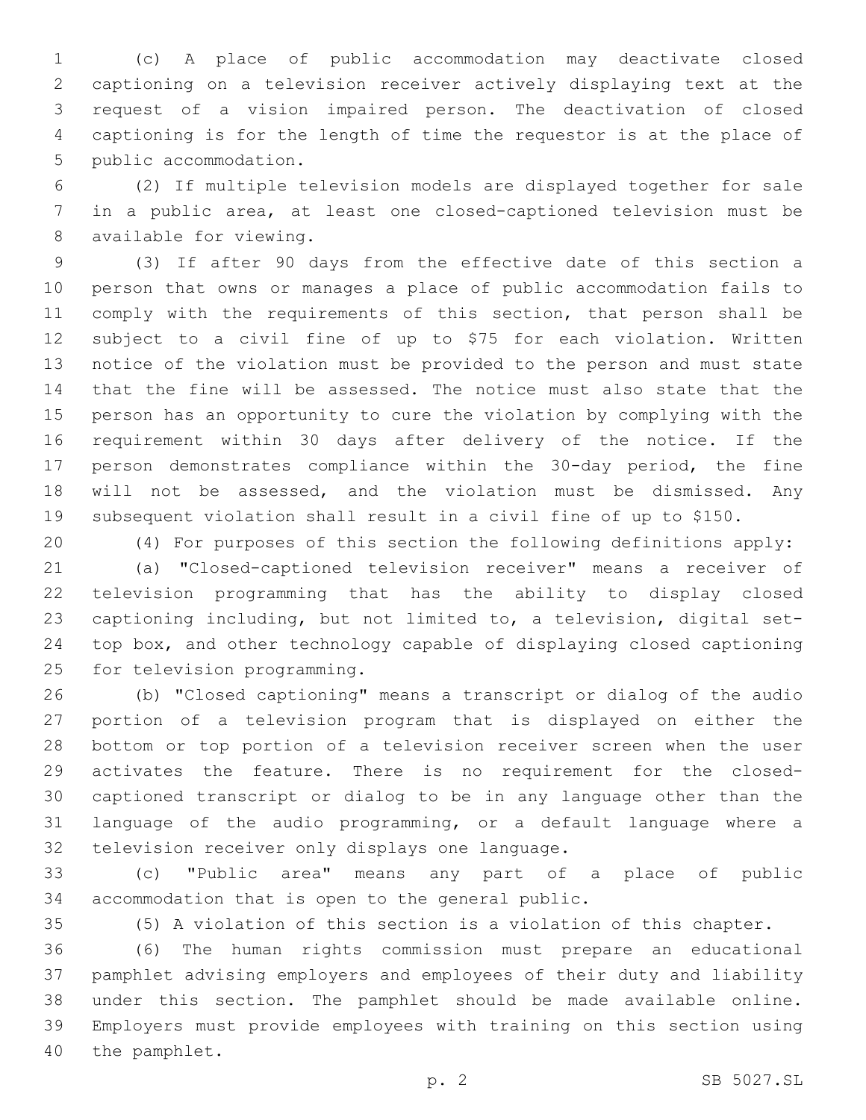(c) A place of public accommodation may deactivate closed captioning on a television receiver actively displaying text at the request of a vision impaired person. The deactivation of closed captioning is for the length of time the requestor is at the place of 5 public accommodation.

 (2) If multiple television models are displayed together for sale in a public area, at least one closed-captioned television must be 8 available for viewing.

 (3) If after 90 days from the effective date of this section a person that owns or manages a place of public accommodation fails to comply with the requirements of this section, that person shall be subject to a civil fine of up to \$75 for each violation. Written notice of the violation must be provided to the person and must state that the fine will be assessed. The notice must also state that the person has an opportunity to cure the violation by complying with the requirement within 30 days after delivery of the notice. If the person demonstrates compliance within the 30-day period, the fine will not be assessed, and the violation must be dismissed. Any subsequent violation shall result in a civil fine of up to \$150.

 (4) For purposes of this section the following definitions apply: (a) "Closed-captioned television receiver" means a receiver of television programming that has the ability to display closed captioning including, but not limited to, a television, digital set- top box, and other technology capable of displaying closed captioning 25 for television programming.

 (b) "Closed captioning" means a transcript or dialog of the audio portion of a television program that is displayed on either the bottom or top portion of a television receiver screen when the user activates the feature. There is no requirement for the closed- captioned transcript or dialog to be in any language other than the language of the audio programming, or a default language where a 32 television receiver only displays one language.

 (c) "Public area" means any part of a place of public 34 accommodation that is open to the general public.

(5) A violation of this section is a violation of this chapter.

 (6) The human rights commission must prepare an educational pamphlet advising employers and employees of their duty and liability under this section. The pamphlet should be made available online. Employers must provide employees with training on this section using 40 the pamphlet.